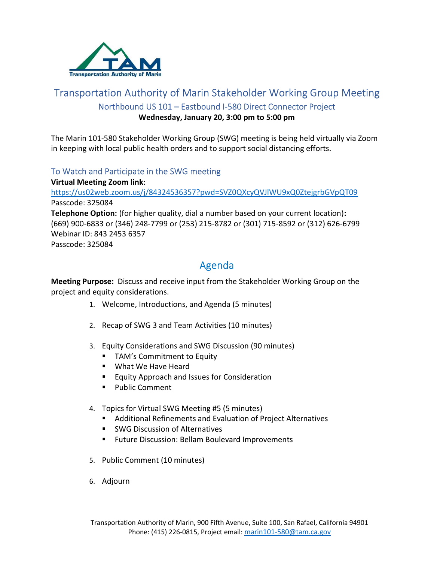

## Transportation Authority of Marin Stakeholder Working Group Meeting Northbound US 101 – Eastbound I-580 Direct Connector Project Wednesday, January 20, 3:00 pm to 5:00 pm

The Marin 101-580 Stakeholder Working Group (SWG) meeting is being held virtually via Zoom in keeping with local public health orders and to support social distancing efforts.

### To Watch and Participate in the SWG meeting

Virtual Meeting Zoom link: https://us02web.zoom.us/j/84324536357?pwd=SVZ0QXcyQVJlWU9xQ0ZtejgrbGVpQT09 Passcode: 325084 Telephone Option: (for higher quality, dial a number based on your current location): (669) 900-6833 or (346) 248-7799 or (253) 215-8782 or (301) 715-8592 or (312) 626-6799 Webinar ID: 843 2453 6357 Passcode: 325084

# Agenda

Meeting Purpose: Discuss and receive input from the Stakeholder Working Group on the project and equity considerations.

- 1. Welcome, Introductions, and Agenda (5 minutes)
- 2. Recap of SWG 3 and Team Activities (10 minutes)
- 3. Equity Considerations and SWG Discussion (90 minutes)
	- **TAM's Commitment to Equity**
	- What We Have Heard
	- **Equity Approach and Issues for Consideration**
	- **Public Comment**
- 4. Topics for Virtual SWG Meeting #5 (5 minutes)
	- Additional Refinements and Evaluation of Project Alternatives
	- **SWG Discussion of Alternatives**
	- **Future Discussion: Bellam Boulevard Improvements**
- 5. Public Comment (10 minutes)
- 6. Adjourn